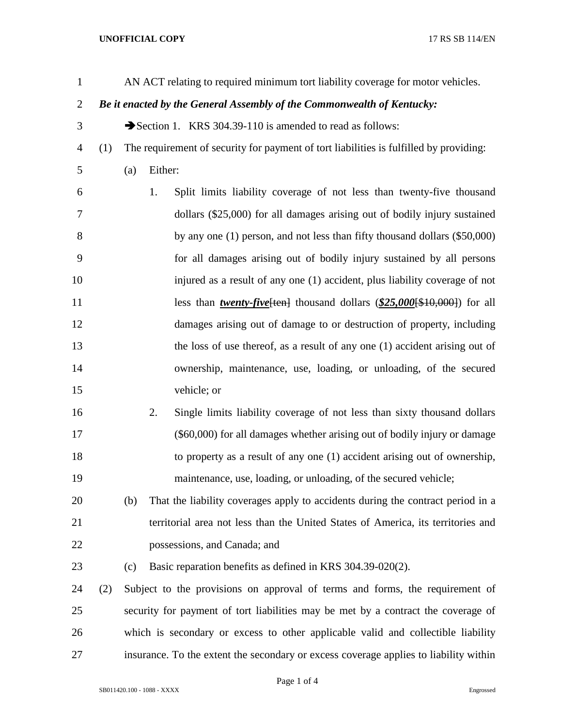| $\mathbf{1}$   |                                                                        |                                                                                   | AN ACT relating to required minimum tort liability coverage for motor vehicles.          |  |
|----------------|------------------------------------------------------------------------|-----------------------------------------------------------------------------------|------------------------------------------------------------------------------------------|--|
| $\overline{2}$ | Be it enacted by the General Assembly of the Commonwealth of Kentucky: |                                                                                   |                                                                                          |  |
| 3              |                                                                        |                                                                                   | Section 1. KRS 304.39-110 is amended to read as follows:                                 |  |
| 4              | (1)                                                                    |                                                                                   | The requirement of security for payment of tort liabilities is fulfilled by providing:   |  |
| 5              |                                                                        | (a)                                                                               | Either:                                                                                  |  |
| 6              |                                                                        |                                                                                   | Split limits liability coverage of not less than twenty-five thousand<br>1.              |  |
| 7              |                                                                        |                                                                                   | dollars (\$25,000) for all damages arising out of bodily injury sustained                |  |
| 8              |                                                                        |                                                                                   | by any one $(1)$ person, and not less than fifty thousand dollars $(\$50,000)$           |  |
| 9              |                                                                        |                                                                                   | for all damages arising out of bodily injury sustained by all persons                    |  |
| 10             |                                                                        |                                                                                   | injured as a result of any one (1) accident, plus liability coverage of not              |  |
| 11             |                                                                        |                                                                                   | less than <i>twenty-five</i> $\{ten\}$ thousand dollars (\$25,000 $\{10,000\}$ ) for all |  |
| 12             |                                                                        |                                                                                   | damages arising out of damage to or destruction of property, including                   |  |
| 13             |                                                                        |                                                                                   | the loss of use thereof, as a result of any one (1) accident arising out of              |  |
| 14             |                                                                        |                                                                                   | ownership, maintenance, use, loading, or unloading, of the secured                       |  |
| 15             |                                                                        |                                                                                   | vehicle; or                                                                              |  |
| 16             |                                                                        |                                                                                   | Single limits liability coverage of not less than sixty thousand dollars<br>2.           |  |
| 17             |                                                                        |                                                                                   | (\$60,000) for all damages whether arising out of bodily injury or damage                |  |
| 18             |                                                                        |                                                                                   | to property as a result of any one (1) accident arising out of ownership,                |  |
| 19             |                                                                        |                                                                                   | maintenance, use, loading, or unloading, of the secured vehicle;                         |  |
| 20             |                                                                        | (b)                                                                               | That the liability coverages apply to accidents during the contract period in a          |  |
| 21             |                                                                        |                                                                                   | territorial area not less than the United States of America, its territories and         |  |
| 22             |                                                                        |                                                                                   | possessions, and Canada; and                                                             |  |
| 23             |                                                                        | (c)                                                                               | Basic reparation benefits as defined in KRS 304.39-020(2).                               |  |
| 24             | (2)                                                                    |                                                                                   | Subject to the provisions on approval of terms and forms, the requirement of             |  |
| 25             |                                                                        | security for payment of tort liabilities may be met by a contract the coverage of |                                                                                          |  |
| 26             |                                                                        | which is secondary or excess to other applicable valid and collectible liability  |                                                                                          |  |
| 27             |                                                                        |                                                                                   | insurance. To the extent the secondary or excess coverage applies to liability within    |  |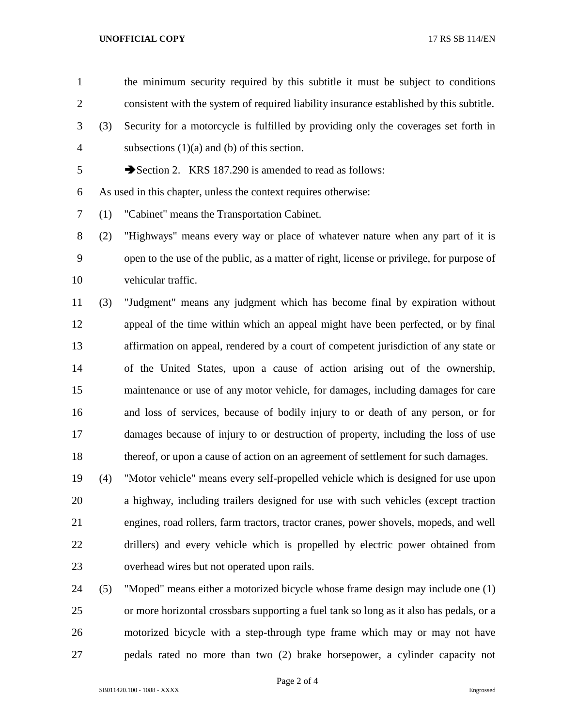the minimum security required by this subtitle it must be subject to conditions consistent with the system of required liability insurance established by this subtitle.

- (3) Security for a motorcycle is fulfilled by providing only the coverages set forth in subsections (1)(a) and (b) of this section.
- 5 Section 2. KRS 187.290 is amended to read as follows:

As used in this chapter, unless the context requires otherwise:

(1) "Cabinet" means the Transportation Cabinet.

 (2) "Highways" means every way or place of whatever nature when any part of it is open to the use of the public, as a matter of right, license or privilege, for purpose of vehicular traffic.

 (3) "Judgment" means any judgment which has become final by expiration without appeal of the time within which an appeal might have been perfected, or by final affirmation on appeal, rendered by a court of competent jurisdiction of any state or of the United States, upon a cause of action arising out of the ownership, maintenance or use of any motor vehicle, for damages, including damages for care and loss of services, because of bodily injury to or death of any person, or for damages because of injury to or destruction of property, including the loss of use thereof, or upon a cause of action on an agreement of settlement for such damages.

 (4) "Motor vehicle" means every self-propelled vehicle which is designed for use upon a highway, including trailers designed for use with such vehicles (except traction engines, road rollers, farm tractors, tractor cranes, power shovels, mopeds, and well drillers) and every vehicle which is propelled by electric power obtained from overhead wires but not operated upon rails.

 (5) "Moped" means either a motorized bicycle whose frame design may include one (1) or more horizontal crossbars supporting a fuel tank so long as it also has pedals, or a motorized bicycle with a step-through type frame which may or may not have pedals rated no more than two (2) brake horsepower, a cylinder capacity not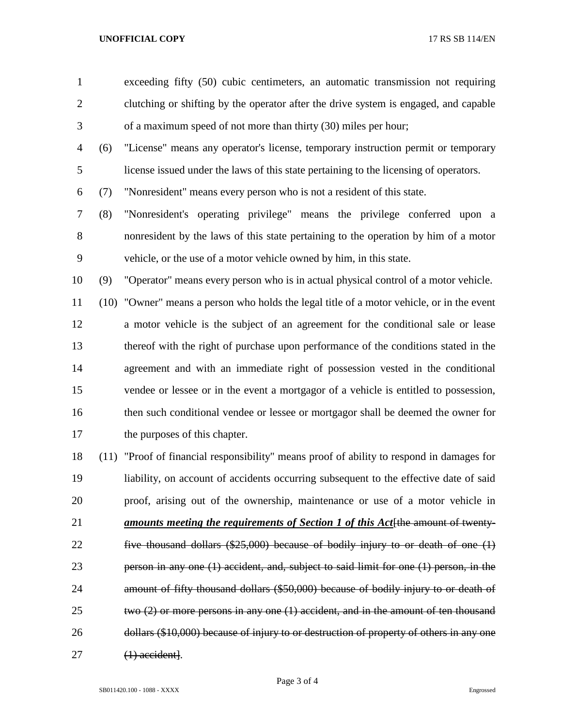exceeding fifty (50) cubic centimeters, an automatic transmission not requiring clutching or shifting by the operator after the drive system is engaged, and capable of a maximum speed of not more than thirty (30) miles per hour;

 (6) "License" means any operator's license, temporary instruction permit or temporary license issued under the laws of this state pertaining to the licensing of operators.

(7) "Nonresident" means every person who is not a resident of this state.

 (8) "Nonresident's operating privilege" means the privilege conferred upon a nonresident by the laws of this state pertaining to the operation by him of a motor vehicle, or the use of a motor vehicle owned by him, in this state.

(9) "Operator" means every person who is in actual physical control of a motor vehicle.

 (10) "Owner" means a person who holds the legal title of a motor vehicle, or in the event a motor vehicle is the subject of an agreement for the conditional sale or lease thereof with the right of purchase upon performance of the conditions stated in the agreement and with an immediate right of possession vested in the conditional vendee or lessee or in the event a mortgagor of a vehicle is entitled to possession, then such conditional vendee or lessee or mortgagor shall be deemed the owner for the purposes of this chapter.

 (11) "Proof of financial responsibility" means proof of ability to respond in damages for liability, on account of accidents occurring subsequent to the effective date of said proof, arising out of the ownership, maintenance or use of a motor vehicle in *amounts meeting the requirements of Section 1 of this Act*[the amount of twenty- five thousand dollars (\$25,000) because of bodily injury to or death of one (1) person in any one (1) accident, and, subject to said limit for one (1) person, in the amount of fifty thousand dollars (\$50,000) because of bodily injury to or death of two (2) or more persons in any one (1) accident, and in the amount of ten thousand dollars (\$10,000) because of injury to or destruction of property of others in any one (1) accident].